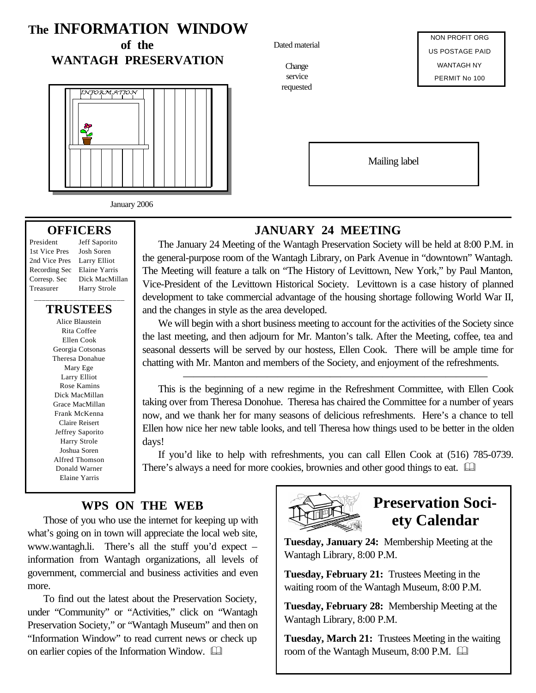# **The INFORMATION WINDOW**

**of the WANTAGH PRESERVATION**



January 2006

### **OFFICERS**

President Jeff Saporito 1st Vice Pres Josh Soren 2nd Vice Pres Larry Elliot Recording Sec Elaine Yarris Treasurer Harry Strole

Corresp. Sec Dick MacMillan

### \_\_\_\_\_\_\_\_\_\_\_\_\_\_\_\_\_\_\_\_\_\_\_ **TRUSTEES**

Alice Blaustein Rita Coffee Ellen Cook Georgia Cotsonas Theresa Donahue Mary Ege Larry Elliot Rose Kamins Dick MacMillan Grace MacMillan Frank McKenna Claire Reisert Jeffrey Saporito Harry Strole Joshua Soren Alfred Thomson Donald Warner Elaine Yarris

Dated material

Change service requested

NON PROFIT ORG US POSTAGE PAID WANTAGH NY PERMIT No 100

Mailing label

## **JANUARY 24 MEETING**

The January 24 Meeting of the Wantagh Preservation Society will be held at 8:00 P.M. in the general-purpose room of the Wantagh Library, on Park Avenue in "downtown" Wantagh. The Meeting will feature a talk on "The History of Levittown, New York," by Paul Manton, Vice-President of the Levittown Historical Society. Levittown is a case history of planned development to take commercial advantage of the housing shortage following World War II, and the changes in style as the area developed.

### We will begin with a short business meeting to account for the activities of the Society since the last meeting, and then adjourn for Mr. Manton's talk. After the Meeting, coffee, tea and seasonal desserts will be served by our hostess, Ellen Cook. There will be ample time for chatting with Mr. Manton and members of the Society, and enjoyment of the refreshments.

—————————————————————————————

### This is the beginning of a new regime in the Refreshment Committee, with Ellen Cook taking over from Theresa Donohue. Theresa has chaired the Committee for a number of years now, and we thank her for many seasons of delicious refreshments. Here's a chance to tell Ellen how nice her new table looks, and tell Theresa how things used to be better in the olden days!

If you'd like to help with refreshments, you can call Ellen Cook at (516) 785-0739. There's always a need for more cookies, brownies and other good things to eat.  $\Box$ 

## **WPS ON THE WEB**

Those of you who use the internet for keeping up with what's going on in town will appreciate the local web site, www.wantagh.li. There's all the stuff you'd expect – information from Wantagh organizations, all levels of government, commercial and business activities and even more.

To find out the latest about the Preservation Society, under "Community" or "Activities," click on "Wantagh Preservation Society," or "Wantagh Museum" and then on "Information Window" to read current news or check up on earlier copies of the Information Window.  $\Box$ 



## **Preservation Society Calendar**

**Tuesday, January 24:** Membership Meeting at the Wantagh Library, 8:00 P.M.

**Tuesday, February 21:** Trustees Meeting in the waiting room of the Wantagh Museum, 8:00 P.M.

**Tuesday, February 28:** Membership Meeting at the Wantagh Library, 8:00 P.M.

**Tuesday, March 21:** Trustees Meeting in the waiting room of the Wantagh Museum, 8:00 P.M.  $\Box$